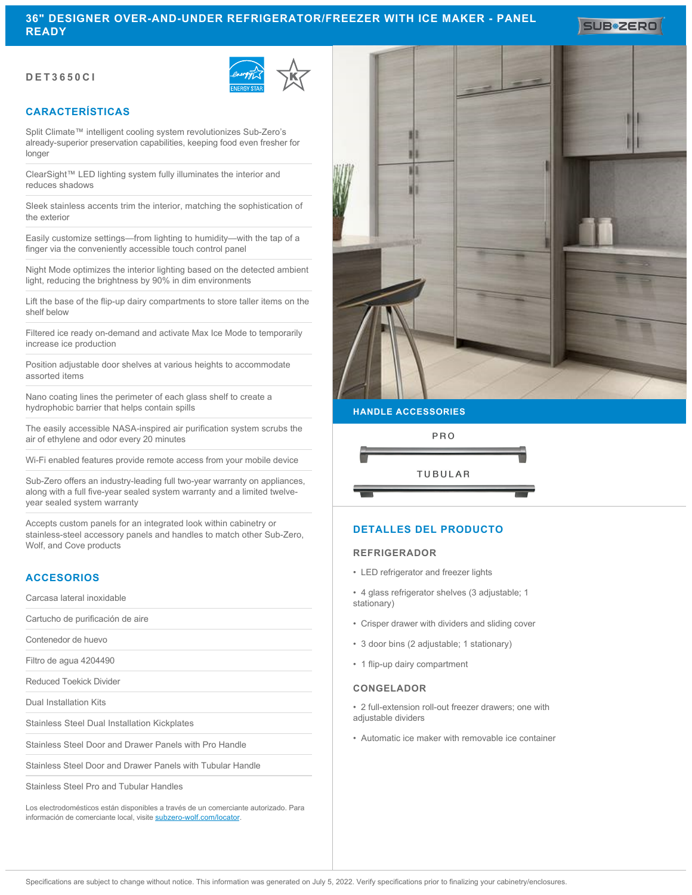# **DET3650CI**



# **CARACTERÍSTICAS**

Split Climate™ intelligent cooling system revolutionizes Sub-Zero's already-superior preservation capabilities, keeping food even fresher for longer

ClearSight™ LED lighting system fully illuminates the interior and reduces shadows

Sleek stainless accents trim the interior, matching the sophistication of the exterior

Easily customize settings—from lighting to humidity—with the tap of a finger via the conveniently accessible touch control panel

Night Mode optimizes the interior lighting based on the detected ambient light, reducing the brightness by 90% in dim environments

Lift the base of the flip-up dairy compartments to store taller items on the shelf below

Filtered ice ready on-demand and activate Max Ice Mode to temporarily increase ice production

Position adjustable door shelves at various heights to accommodate assorted items

Nano coating lines the perimeter of each glass shelf to create a hydrophobic barrier that helps contain spills

The easily accessible NASA-inspired air purification system scrubs the air of ethylene and odor every 20 minutes

Wi-Fi enabled features provide remote access from your mobile device

Sub-Zero offers an industry-leading full two-year warranty on appliances, along with a full five-year sealed system warranty and a limited twelveyear sealed system warranty

Accepts custom panels for an integrated look within cabinetry or stainless-steel accessory panels and handles to match other Sub-Zero, Wolf, and Cove products

## **ACCESORIOS**

Carcasa lateral inoxidable

Cartucho de purificación de aire

Contenedor de huevo

Filtro de agua 4204490

Reduced Toekick Divider

Dual Installation Kits

Stainless Steel Dual Installation Kickplates

Stainless Steel Door and Drawer Panels with Pro Handle

Stainless Steel Door and Drawer Panels with Tubular Handle

Stainless Steel Pro and Tubular Handles

Los electrodomésticos están disponibles a través de un comerciante autorizado. Para información de comerciante local, visite [subzero-wolf.com/locator](http://www.subzero-wolf.com/locator).



**SUB#2ERO** 

### **HANDLE ACCESSORIES**



# **DETALLES DEL PRODUCTO**

## **REFRIGERADOR**

• LED refrigerator and freezer lights

• 4 glass refrigerator shelves (3 adjustable; 1 stationary)

- Crisper drawer with dividers and sliding cover
- 3 door bins (2 adjustable; 1 stationary)
- 1 flip-up dairy compartment

#### **CONGELADOR**

• 2 full-extension roll-out freezer drawers; one with adjustable dividers

• Automatic ice maker with removable ice container